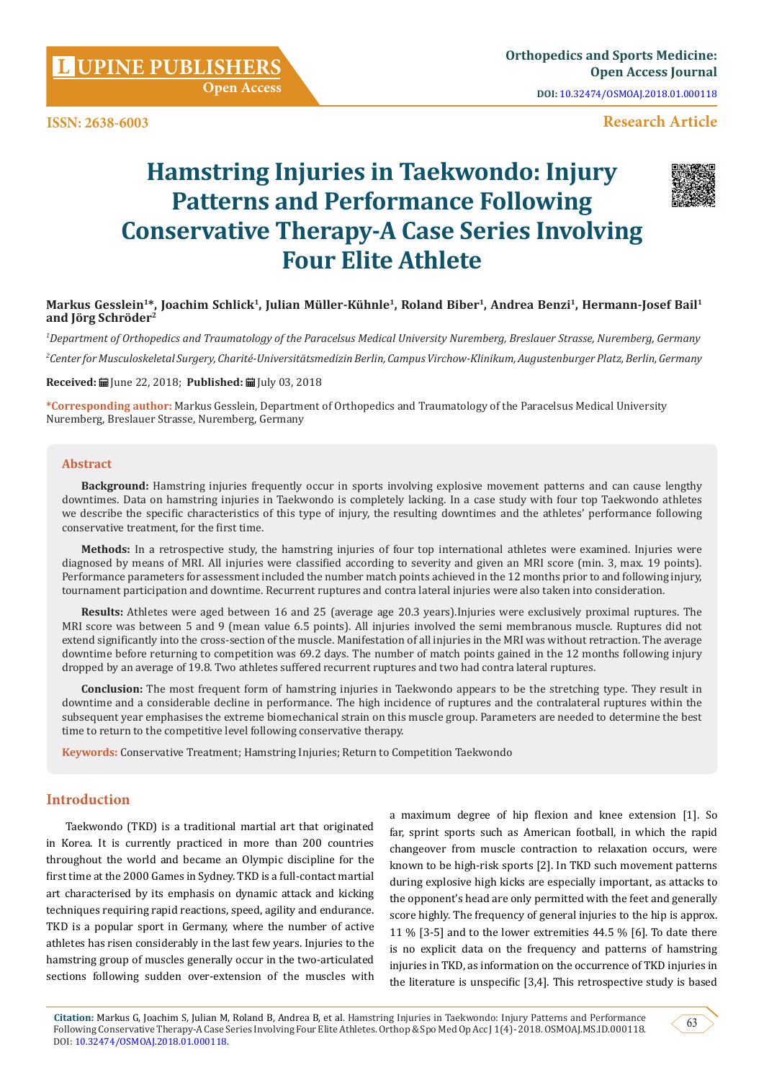**ISSN: 2638-6003**

# **Research Article**

# **Hamstring Injuries in Taekwondo: Injury Patterns and Performance Following Conservative Therapy-A Case Series Involving Four Elite Athlete**



# **Markus Gesslein1\*, Joachim Schlick1, Julian Müller-Kühnle1, Roland Biber1, Andrea Benzi1, Hermann-Josef Bail1** and Jörg Schröder<sup>2</sup>

*1 Department of Orthopedics and Traumatology of the Paracelsus Medical University Nuremberg, Breslauer Strasse, Nuremberg, Germany 2 Center for Musculoskeletal Surgery, Charité-Universitätsmedizin Berlin, Campus Virchow-Klinikum, Augustenburger Platz, Berlin, Germany*

**Received:** June 22, 2018; **Published:** July 03, 2018

**\*Corresponding author:** Markus Gesslein, Department of Orthopedics and Traumatology of the Paracelsus Medical University Nuremberg, Breslauer Strasse, Nuremberg, Germany

#### **Abstract**

**Background:** Hamstring injuries frequently occur in sports involving explosive movement patterns and can cause lengthy downtimes. Data on hamstring injuries in Taekwondo is completely lacking. In a case study with four top Taekwondo athletes we describe the specific characteristics of this type of injury, the resulting downtimes and the athletes' performance following conservative treatment, for the first time.

**Methods:** In a retrospective study, the hamstring injuries of four top international athletes were examined. Injuries were diagnosed by means of MRI. All injuries were classified according to severity and given an MRI score (min. 3, max. 19 points). Performance parameters for assessment included the number match points achieved in the 12 months prior to and following injury, tournament participation and downtime. Recurrent ruptures and contra lateral injuries were also taken into consideration.

**Results:** Athletes were aged between 16 and 25 (average age 20.3 years).Injuries were exclusively proximal ruptures. The MRI score was between 5 and 9 (mean value 6.5 points). All injuries involved the semi membranous muscle. Ruptures did not extend significantly into the cross-section of the muscle. Manifestation of all injuries in the MRI was without retraction. The average downtime before returning to competition was 69.2 days. The number of match points gained in the 12 months following injury dropped by an average of 19.8. Two athletes suffered recurrent ruptures and two had contra lateral ruptures.

**Conclusion:** The most frequent form of hamstring injuries in Taekwondo appears to be the stretching type. They result in downtime and a considerable decline in performance. The high incidence of ruptures and the contralateral ruptures within the subsequent year emphasises the extreme biomechanical strain on this muscle group. Parameters are needed to determine the best time to return to the competitive level following conservative therapy.

**Keywords:** Conservative Treatment; Hamstring Injuries; Return to Competition Taekwondo

# **Introduction**

Taekwondo (TKD) is a traditional martial art that originated in Korea. It is currently practiced in more than 200 countries throughout the world and became an Olympic discipline for the first time at the 2000 Games in Sydney. TKD is a full-contact martial art characterised by its emphasis on dynamic attack and kicking techniques requiring rapid reactions, speed, agility and endurance. TKD is a popular sport in Germany, where the number of active athletes has risen considerably in the last few years. Injuries to the hamstring group of muscles generally occur in the two-articulated sections following sudden over-extension of the muscles with

a maximum degree of hip flexion and knee extension [1]. So far, sprint sports such as American football, in which the rapid changeover from muscle contraction to relaxation occurs, were known to be high-risk sports [2]. In TKD such movement patterns during explosive high kicks are especially important, as attacks to the opponent's head are only permitted with the feet and generally score highly. The frequency of general injuries to the hip is approx. 11 % [3-5] and to the lower extremities 44.5 % [6]. To date there is no explicit data on the frequency and patterns of hamstring injuries in TKD, as information on the occurrence of TKD injuries in the literature is unspecific [3,4]. This retrospective study is based

**Citation:** Markus G, Joachim S, Julian M, Roland B, Andrea B, et al. Hamstring Injuries in Taekwondo: Injury Patterns and Performance Following Conservative Therapy-A Case Series Involving Four Elite Athletes. Orthop & Spo Med Op Acc J 1(4)- 2018. OSMOAJ.MS.ID.000118. DOI: [10.32474/OSMOAJ.2018.01.000118.](http://dx.doi.org/10.32474/OSMOAJ.2018.01.000118)

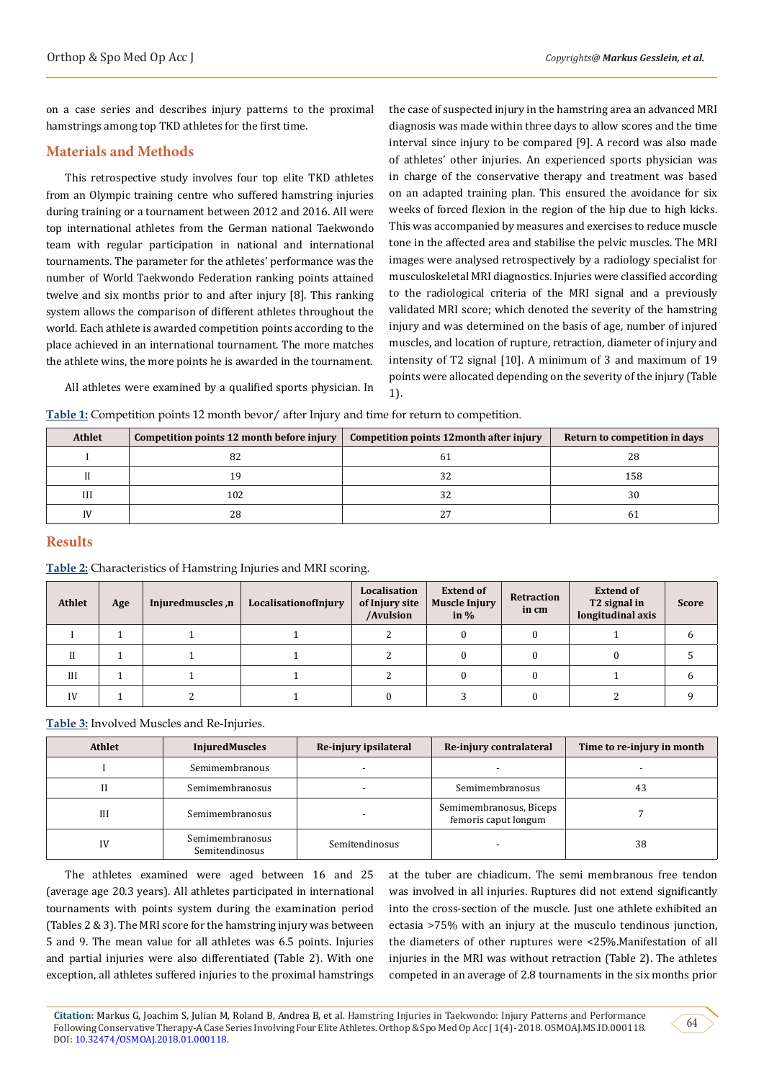on a case series and describes injury patterns to the proximal hamstrings among top TKD athletes for the first time.

# **Materials and Methods**

This retrospective study involves four top elite TKD athletes from an Olympic training centre who suffered hamstring injuries during training or a tournament between 2012 and 2016. All were top international athletes from the German national Taekwondo team with regular participation in national and international tournaments. The parameter for the athletes' performance was the number of World Taekwondo Federation ranking points attained twelve and six months prior to and after injury [8]. This ranking system allows the comparison of different athletes throughout the world. Each athlete is awarded competition points according to the place achieved in an international tournament. The more matches the athlete wins, the more points he is awarded in the tournament.

the case of suspected injury in the hamstring area an advanced MRI diagnosis was made within three days to allow scores and the time interval since injury to be compared [9]. A record was also made of athletes' other injuries. An experienced sports physician was in charge of the conservative therapy and treatment was based on an adapted training plan. This ensured the avoidance for six weeks of forced flexion in the region of the hip due to high kicks. This was accompanied by measures and exercises to reduce muscle tone in the affected area and stabilise the pelvic muscles. The MRI images were analysed retrospectively by a radiology specialist for musculoskeletal MRI diagnostics. Injuries were classified according to the radiological criteria of the MRI signal and a previously validated MRI score; which denoted the severity of the hamstring injury and was determined on the basis of age, number of injured muscles, and location of rupture, retraction, diameter of injury and intensity of T2 signal [10]. A minimum of 3 and maximum of 19 points were allocated depending on the severity of the injury (Table 1).

All athletes were examined by a qualified sports physician. In

**Table 1:** Competition points 12 month bevor/ after Injury and time for return to competition.

| <b>Athlet</b> | Competition points 12 month before injury | Competition points 12 month after injury | Return to competition in days |
|---------------|-------------------------------------------|------------------------------------------|-------------------------------|
|               |                                           | 6.                                       | 28                            |
|               |                                           | 32                                       | 158                           |
| Ш             | 102                                       | 32                                       | 30                            |
| IV            | 28                                        | Ζ,                                       |                               |

# **Results**

# **Table 2:** Characteristics of Hamstring Injuries and MRI scoring.

| <b>Athlet</b> | Age | Injuredmuscles,n | LocalisationofInjury | Localisation<br>of Injury site<br>/Avulsion | <b>Extend of</b><br><b>Muscle Injury</b><br>in $\%$ | Retraction<br>in cm | <b>Extend of</b><br>T <sub>2</sub> signal in<br>longitudinal axis | <b>Score</b> |
|---------------|-----|------------------|----------------------|---------------------------------------------|-----------------------------------------------------|---------------------|-------------------------------------------------------------------|--------------|
|               |     |                  |                      |                                             |                                                     |                     |                                                                   |              |
|               |     |                  |                      |                                             |                                                     |                     |                                                                   |              |
| III           |     |                  |                      |                                             |                                                     |                     |                                                                   |              |
| IV            |     |                  |                      |                                             |                                                     |                     |                                                                   |              |

**Table 3:** Involved Muscles and Re-Injuries.

| <b>Athlet</b> | <b>InjuredMuscles</b>             | Re-injury ipsilateral | Re-injury contralateral                         | Time to re-injury in month |
|---------------|-----------------------------------|-----------------------|-------------------------------------------------|----------------------------|
|               | Semimembranous                    |                       |                                                 |                            |
|               | Semimembranosus                   |                       | Semimembranosus                                 | 43                         |
| Ш             | Semimembranosus                   |                       | Semimembranosus, Biceps<br>femoris caput longum |                            |
| IV            | Semimembranosus<br>Semitendinosus | Semitendinosus        |                                                 | 38                         |

The athletes examined were aged between 16 and 25 (average age 20.3 years). All athletes participated in international tournaments with points system during the examination period (Tables 2 & 3). The MRI score for the hamstring injury was between 5 and 9. The mean value for all athletes was 6.5 points. Injuries and partial injuries were also differentiated (Table 2). With one exception, all athletes suffered injuries to the proximal hamstrings

at the tuber are chiadicum. The semi membranous free tendon was involved in all injuries. Ruptures did not extend significantly into the cross-section of the muscle. Just one athlete exhibited an ectasia >75% with an injury at the musculo tendinous junction, the diameters of other ruptures were <25%.Manifestation of all injuries in the MRI was without retraction (Table 2). The athletes competed in an average of 2.8 tournaments in the six months prior

64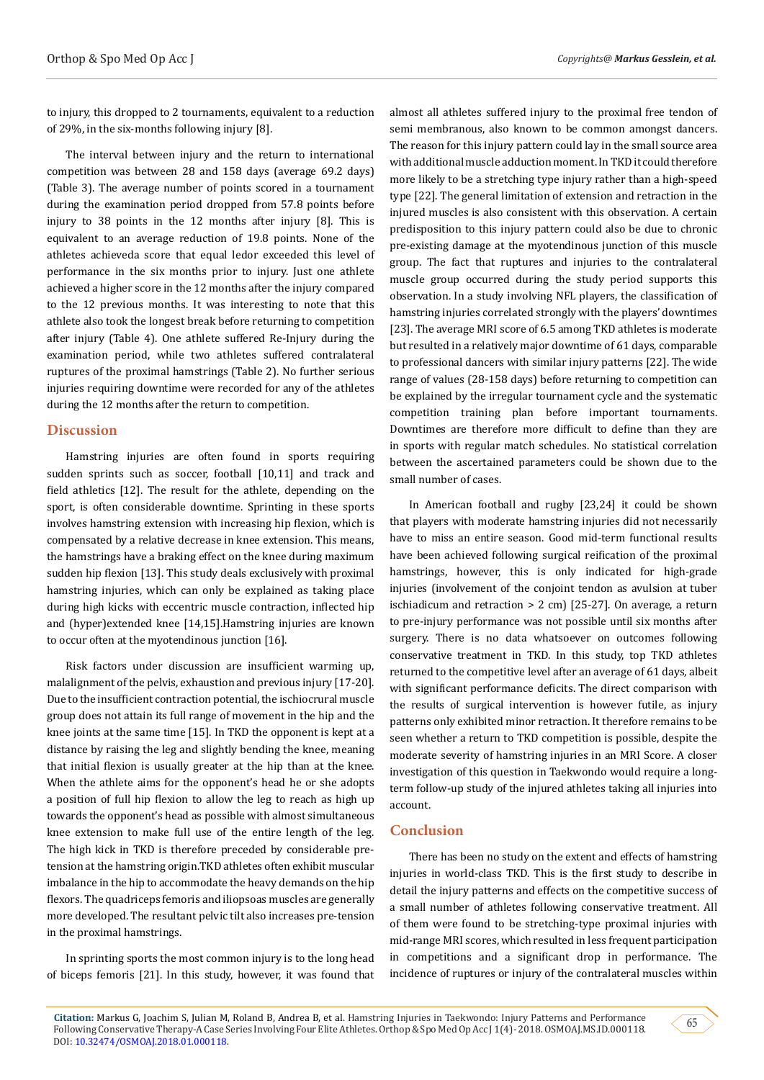to injury, this dropped to 2 tournaments, equivalent to a reduction of 29%, in the six-months following injury [8].

The interval between injury and the return to international competition was between 28 and 158 days (average 69.2 days) (Table 3). The average number of points scored in a tournament during the examination period dropped from 57.8 points before injury to 38 points in the 12 months after injury [8]. This is equivalent to an average reduction of 19.8 points. None of the athletes achieveda score that equal ledor exceeded this level of performance in the six months prior to injury. Just one athlete achieved a higher score in the 12 months after the injury compared to the 12 previous months. It was interesting to note that this athlete also took the longest break before returning to competition after injury (Table 4). One athlete suffered Re-Injury during the examination period, while two athletes suffered contralateral ruptures of the proximal hamstrings (Table 2). No further serious injuries requiring downtime were recorded for any of the athletes during the 12 months after the return to competition.

#### **Discussion**

Hamstring injuries are often found in sports requiring sudden sprints such as soccer, football [10,11] and track and field athletics [12]. The result for the athlete, depending on the sport, is often considerable downtime. Sprinting in these sports involves hamstring extension with increasing hip flexion, which is compensated by a relative decrease in knee extension. This means, the hamstrings have a braking effect on the knee during maximum sudden hip flexion [13]. This study deals exclusively with proximal hamstring injuries, which can only be explained as taking place during high kicks with eccentric muscle contraction, inflected hip and (hyper)extended knee [14,15].Hamstring injuries are known to occur often at the myotendinous junction [16].

Risk factors under discussion are insufficient warming up, malalignment of the pelvis, exhaustion and previous injury [17-20]. Due to the insufficient contraction potential, the ischiocrural muscle group does not attain its full range of movement in the hip and the knee joints at the same time [15]. In TKD the opponent is kept at a distance by raising the leg and slightly bending the knee, meaning that initial flexion is usually greater at the hip than at the knee. When the athlete aims for the opponent's head he or she adopts a position of full hip flexion to allow the leg to reach as high up towards the opponent's head as possible with almost simultaneous knee extension to make full use of the entire length of the leg. The high kick in TKD is therefore preceded by considerable pretension at the hamstring origin.TKD athletes often exhibit muscular imbalance in the hip to accommodate the heavy demands on the hip flexors. The quadriceps femoris and iliopsoas muscles are generally more developed. The resultant pelvic tilt also increases pre-tension in the proximal hamstrings.

In sprinting sports the most common injury is to the long head of biceps femoris [21]. In this study, however, it was found that almost all athletes suffered injury to the proximal free tendon of semi membranous, also known to be common amongst dancers. The reason for this injury pattern could lay in the small source area with additional muscle adduction moment. In TKD it could therefore more likely to be a stretching type injury rather than a high-speed type [22]. The general limitation of extension and retraction in the injured muscles is also consistent with this observation. A certain predisposition to this injury pattern could also be due to chronic pre-existing damage at the myotendinous junction of this muscle group. The fact that ruptures and injuries to the contralateral muscle group occurred during the study period supports this observation. In a study involving NFL players, the classification of hamstring injuries correlated strongly with the players' downtimes [23]. The average MRI score of 6.5 among TKD athletes is moderate but resulted in a relatively major downtime of 61 days, comparable to professional dancers with similar injury patterns [22]. The wide range of values (28-158 days) before returning to competition can be explained by the irregular tournament cycle and the systematic competition training plan before important tournaments. Downtimes are therefore more difficult to define than they are in sports with regular match schedules. No statistical correlation between the ascertained parameters could be shown due to the small number of cases.

In American football and rugby [23,24] it could be shown that players with moderate hamstring injuries did not necessarily have to miss an entire season. Good mid-term functional results have been achieved following surgical reification of the proximal hamstrings, however, this is only indicated for high-grade injuries (involvement of the conjoint tendon as avulsion at tuber ischiadicum and retraction > 2 cm) [25-27]. On average, a return to pre-injury performance was not possible until six months after surgery. There is no data whatsoever on outcomes following conservative treatment in TKD. In this study, top TKD athletes returned to the competitive level after an average of 61 days, albeit with significant performance deficits. The direct comparison with the results of surgical intervention is however futile, as injury patterns only exhibited minor retraction. It therefore remains to be seen whether a return to TKD competition is possible, despite the moderate severity of hamstring injuries in an MRI Score. A closer investigation of this question in Taekwondo would require a longterm follow-up study of the injured athletes taking all injuries into account.

### **Conclusion**

There has been no study on the extent and effects of hamstring injuries in world-class TKD. This is the first study to describe in detail the injury patterns and effects on the competitive success of a small number of athletes following conservative treatment. All of them were found to be stretching-type proximal injuries with mid-range MRI scores, which resulted in less frequent participation in competitions and a significant drop in performance. The incidence of ruptures or injury of the contralateral muscles within

**Citation:** Markus G, Joachim S, Julian M, Roland B, Andrea B, et al. Hamstring Injuries in Taekwondo: Injury Patterns and Performance Following Conservative Therapy-A Case Series Involving Four Elite Athletes. Orthop & Spo Med Op Acc J 1(4)- 2018. OSMOAJ.MS.ID.000118. DOI: [10.32474/OSMOAJ.2018.01.000118.](http://dx.doi.org/10.32474/OSMOAJ.2018.01.000118)

65